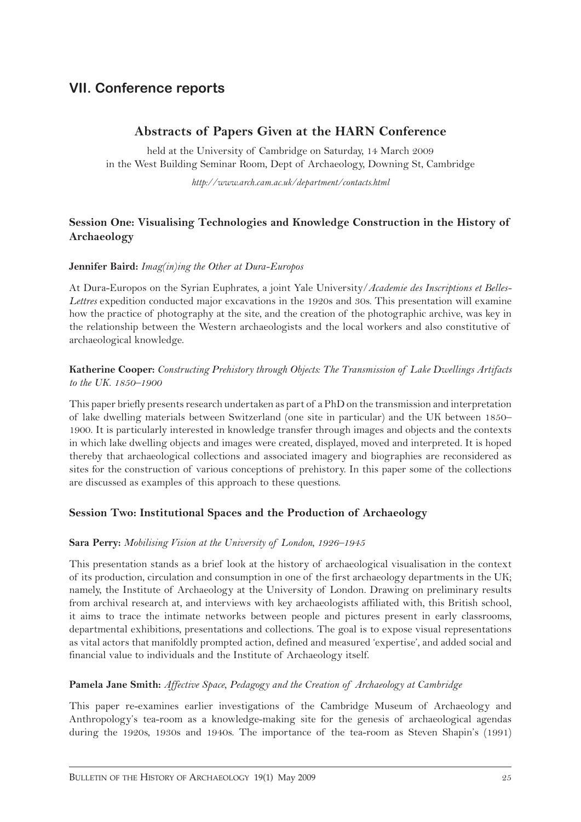# **VII. Conference reports**

## **Abstracts of Papers Given at the HARN Conference**

held at the University of Cambridge on Saturday, 14 March 2009 in the West Building Seminar Room, Dept of Archaeology, Downing St, Cambridge

*http://www.arch.cam.ac.uk/department/contacts.html*

### **Session One: Visualising Technologies and Knowledge Construction in the History of Archaeology**

#### **Jennifer Baird:** *Imag(in)ing the Other at Dura-Europos*

At Dura-Europos on the Syrian Euphrates, a joint Yale University/*Academie des Inscriptions et Belles-Lettres* expedition conducted major excavations in the 1920s and 30s. This presentation will examine how the practice of photography at the site, and the creation of the photographic archive, was key in the relationship between the Western archaeologists and the local workers and also constitutive of archaeological knowledge.

#### **Katherine Cooper:** *Constructing Prehistory through Objects: The Transmission of Lake Dwellings Artifacts to the UK. 1850–1900*

This paper briefly presents research undertaken as part of a PhD on the transmission and interpretation of lake dwelling materials between Switzerland (one site in particular) and the UK between 1850– 1900. It is particularly interested in knowledge transfer through images and objects and the contexts in which lake dwelling objects and images were created, displayed, moved and interpreted. It is hoped thereby that archaeological collections and associated imagery and biographies are reconsidered as sites for the construction of various conceptions of prehistory. In this paper some of the collections are discussed as examples of this approach to these questions.

### **Session Two: Institutional Spaces and the Production of Archaeology**

#### **Sara Perry:** *Mobilising Vision at the University of London, 1926–1945*

This presentation stands as a brief look at the history of archaeological visualisation in the context of its production, circulation and consumption in one of the first archaeology departments in the UK; namely, the Institute of Archaeology at the University of London. Drawing on preliminary results from archival research at, and interviews with key archaeologists affiliated with, this British school, it aims to trace the intimate networks between people and pictures present in early classrooms, departmental exhibitions, presentations and collections. The goal is to expose visual representations as vital actors that manifoldly prompted action, defined and measured 'expertise', and added social and financial value to individuals and the Institute of Archaeology itself.

### **Pamela Jane Smith:** *Affective Space, Pedagogy and the Creation of Archaeology at Cambridge*

This paper re-examines earlier investigations of the Cambridge Museum of Archaeology and Anthropology's tea-room as a knowledge-making site for the genesis of archaeological agendas during the 1920s, 1930s and 1940s. The importance of the tea-room as Steven Shapin's (1991)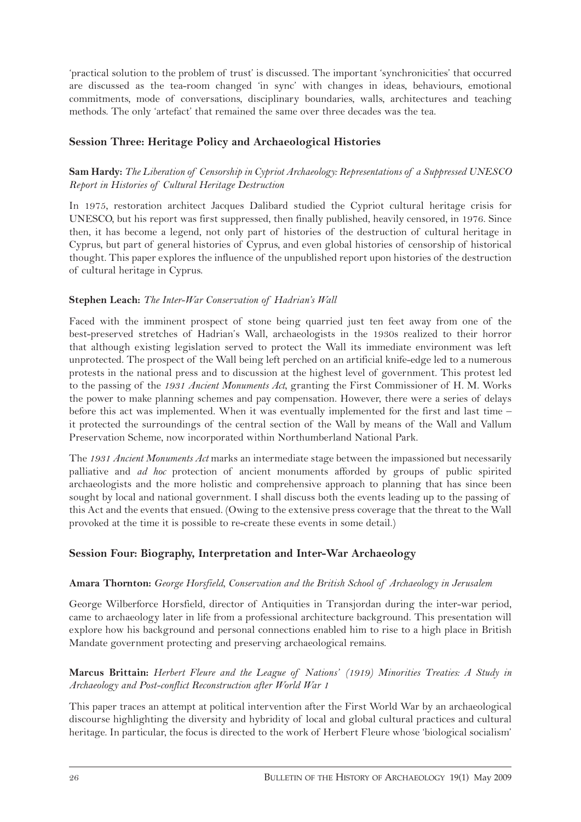'practical solution to the problem of trust' is discussed. The important 'synchronicities' that occurred are discussed as the tea-room changed 'in sync' with changes in ideas, behaviours, emotional commitments, mode of conversations, disciplinary boundaries, walls, architectures and teaching methods. The only 'artefact' that remained the same over three decades was the tea.

### **Session Three: Heritage Policy and Archaeological Histories**

### **Sam Hardy:** *The Liberation of Censorship in Cypriot Archaeology: Representations of a Suppressed UNESCO Report in Histories of Cultural Heritage Destruction*

In 1975, restoration architect Jacques Dalibard studied the Cypriot cultural heritage crisis for UNESCO, but his report was first suppressed, then finally published, heavily censored, in 1976. Since then, it has become a legend, not only part of histories of the destruction of cultural heritage in Cyprus, but part of general histories of Cyprus, and even global histories of censorship of historical thought. This paper explores the influence of the unpublished report upon histories of the destruction of cultural heritage in Cyprus.

### **Stephen Leach:** *The Inter-War Conservation of Hadrian's Wall*

Faced with the imminent prospect of stone being quarried just ten feet away from one of the best-preserved stretches of Hadrian's Wall, archaeologists in the 1930s realized to their horror that although existing legislation served to protect the Wall its immediate environment was left unprotected. The prospect of the Wall being left perched on an artificial knife-edge led to a numerous protests in the national press and to discussion at the highest level of government. This protest led to the passing of the *1931 Ancient Monuments Act*, granting the First Commissioner of H. M. Works the power to make planning schemes and pay compensation. However, there were a series of delays before this act was implemented. When it was eventually implemented for the first and last time – it protected the surroundings of the central section of the Wall by means of the Wall and Vallum Preservation Scheme, now incorporated within Northumberland National Park.

The *1931 Ancient Monuments Act* marks an intermediate stage between the impassioned but necessarily palliative and *ad hoc* protection of ancient monuments afforded by groups of public spirited archaeologists and the more holistic and comprehensive approach to planning that has since been sought by local and national government. I shall discuss both the events leading up to the passing of this Act and the events that ensued. (Owing to the extensive press coverage that the threat to the Wall provoked at the time it is possible to re-create these events in some detail.)

### **Session Four: Biography, Interpretation and Inter-War Archaeology**

### **Amara Thornton:** *George Horsfield, Conservation and the British School of Archaeology in Jerusalem*

George Wilberforce Horsfield, director of Antiquities in Transjordan during the inter-war period, came to archaeology later in life from a professional architecture background. This presentation will explore how his background and personal connections enabled him to rise to a high place in British Mandate government protecting and preserving archaeological remains.

### **Marcus Brittain:** *Herbert Fleure and the League of Nations' (1919) Minorities Treaties: A Study in Archaeology and Post-conflict Reconstruction after World War 1*

This paper traces an attempt at political intervention after the First World War by an archaeological discourse highlighting the diversity and hybridity of local and global cultural practices and cultural heritage. In particular, the focus is directed to the work of Herbert Fleure whose 'biological socialism'